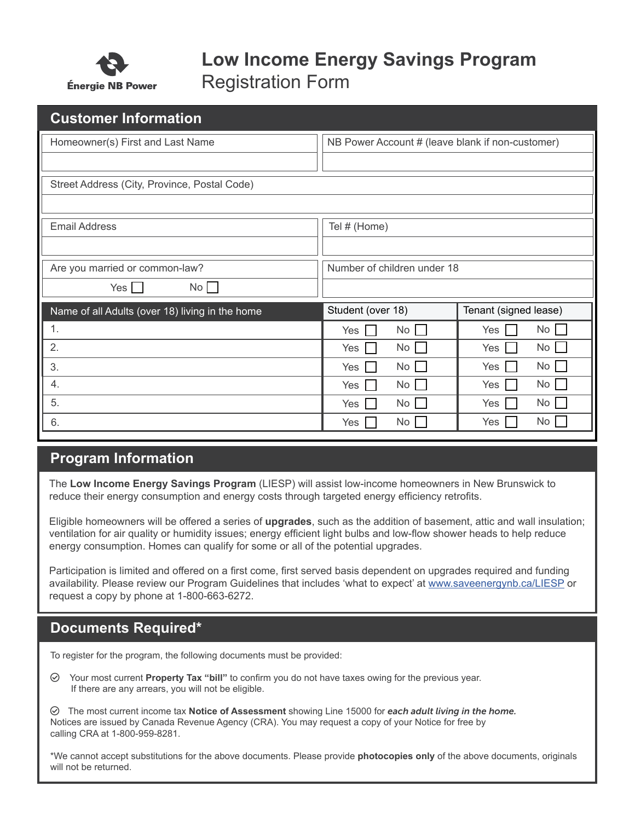

# **Low Income Energy Savings Program** Registration Form

| <b>Customer Information</b>                     |                                                  |                       |  |  |  |  |
|-------------------------------------------------|--------------------------------------------------|-----------------------|--|--|--|--|
| Homeowner(s) First and Last Name                | NB Power Account # (leave blank if non-customer) |                       |  |  |  |  |
|                                                 |                                                  |                       |  |  |  |  |
| Street Address (City, Province, Postal Code)    |                                                  |                       |  |  |  |  |
|                                                 |                                                  |                       |  |  |  |  |
| <b>Email Address</b>                            | Tel # (Home)                                     |                       |  |  |  |  |
|                                                 |                                                  |                       |  |  |  |  |
| Are you married or common-law?                  | Number of children under 18                      |                       |  |  |  |  |
| $Yes \Box$<br>No                                |                                                  |                       |  |  |  |  |
| Name of all Adults (over 18) living in the home | Student (over 18)                                | Tenant (signed lease) |  |  |  |  |
| 1.                                              | No<br>Yes                                        | No<br>Yes             |  |  |  |  |
| 2.                                              | No<br>Yes                                        | No<br>Yes             |  |  |  |  |
| 3.                                              | No<br>Yes                                        | No l<br>Yes           |  |  |  |  |
| 4.                                              | No<br>Yes                                        | No<br>$Yes \mid$      |  |  |  |  |
| 5.                                              | No<br>Yes                                        | No<br>Yes $\vert$     |  |  |  |  |
| 6.                                              | No<br>Yes                                        | No<br>Yes             |  |  |  |  |

### **Program Information**

The **Low Income Energy Savings Program** (LIESP) will assist low-income homeowners in New Brunswick to reduce their energy consumption and energy costs through targeted energy efficiency retrofits.

Eligible homeowners will be offered a series of **upgrades**, such as the addition of basement, attic and wall insulation; ventilation for air quality or humidity issues; energy efficient light bulbs and low-flow shower heads to help reduce energy consumption. Homes can qualify for some or all of the potential upgrades.

Participation is limited and offered on a first come, first served basis dependent on upgrades required and funding availability. Please review our Program Guidelines that includes 'what to expect' at www.saveenergynb.ca/LIESP or request a copy by phone at 1-800-663-6272.

### **Documents Required\***

To register for the program, the following documents must be provided:

 Your most current **Property Tax "bill"** to confirm you do not have taxes owing for the previous year. If there are any arrears, you will not be eligible.

 The most current income tax **Notice of Assessment** showing Line 15000 for *each adult living in the home.*  Notices are issued by Canada Revenue Agency (CRA). You may request a copy of your Notice for free by calling CRA at 1-800-959-8281.

\*We cannot accept substitutions for the above documents. Please provide **photocopies only** of the above documents, originals will not be returned.